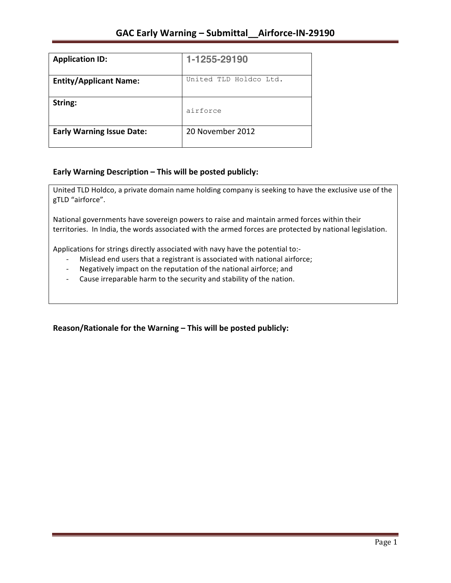| <b>Application ID:</b>           | 1-1255-29190           |
|----------------------------------|------------------------|
| <b>Entity/Applicant Name:</b>    | United TLD Holdco Ltd. |
| String:                          | airforce               |
| <b>Early Warning Issue Date:</b> | 20 November 2012       |

## **Early Warning Description – This will be posted publicly:**

United TLD Holdco, a private domain name holding company is seeking to have the exclusive use of the gTLD "airforce".

National governments have sovereign powers to raise and maintain armed forces within their territories. In India, the words associated with the armed forces are protected by national legislation.

Applications for strings directly associated with navy have the potential to:-

- Mislead end users that a registrant is associated with national airforce;
- Negatively impact on the reputation of the national airforce; and
- Cause irreparable harm to the security and stability of the nation.

Reason/Rationale for the Warning – This will be posted publicly: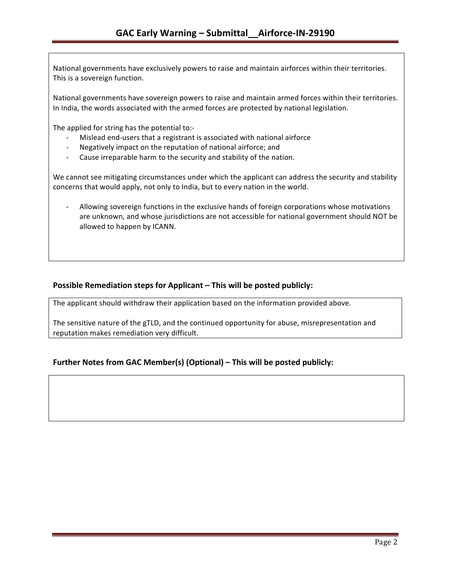National governments have exclusively powers to raise and maintain airforces within their territories. This is a sovereign function.

National governments have sovereign powers to raise and maintain armed forces within their territories. In India, the words associated with the armed forces are protected by national legislation.

The applied for string has the potential to:-

- Mislead end-users that a registrant is associated with national airforce
- Negatively impact on the reputation of national airforce; and
- Cause irreparable harm to the security and stability of the nation.

We cannot see mitigating circumstances under which the applicant can address the security and stability concerns that would apply, not only to India, but to every nation in the world.

Allowing sovereign functions in the exclusive hands of foreign corporations whose motivations are unknown, and whose jurisdictions are not accessible for national government should NOT be allowed to happen by ICANN.

## **Possible Remediation steps for Applicant – This will be posted publicly:**

The applicant should withdraw their application based on the information provided above.

The sensitive nature of the gTLD, and the continued opportunity for abuse, misrepresentation and reputation makes remediation very difficult.

### **Further Notes from GAC Member(s) (Optional) – This will be posted publicly:**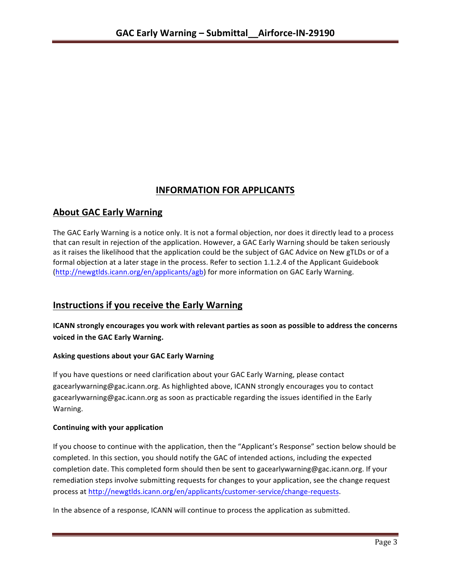# **INFORMATION FOR APPLICANTS**

# **About GAC Early Warning**

The GAC Early Warning is a notice only. It is not a formal objection, nor does it directly lead to a process that can result in rejection of the application. However, a GAC Early Warning should be taken seriously as it raises the likelihood that the application could be the subject of GAC Advice on New gTLDs or of a formal objection at a later stage in the process. Refer to section 1.1.2.4 of the Applicant Guidebook (http://newgtlds.icann.org/en/applicants/agb) for more information on GAC Early Warning.

# **Instructions if you receive the Early Warning**

**ICANN** strongly encourages you work with relevant parties as soon as possible to address the concerns **voiced** in the GAC Early Warning.

### **Asking questions about your GAC Early Warning**

If you have questions or need clarification about your GAC Early Warning, please contact gacearlywarning@gac.icann.org. As highlighted above, ICANN strongly encourages you to contact gacearlywarning@gac.icann.org as soon as practicable regarding the issues identified in the Early Warning. 

### **Continuing with your application**

If you choose to continue with the application, then the "Applicant's Response" section below should be completed. In this section, you should notify the GAC of intended actions, including the expected completion date. This completed form should then be sent to gacearlywarning@gac.icann.org. If your remediation steps involve submitting requests for changes to your application, see the change request process at http://newgtlds.icann.org/en/applicants/customer-service/change-requests.

In the absence of a response, ICANN will continue to process the application as submitted.